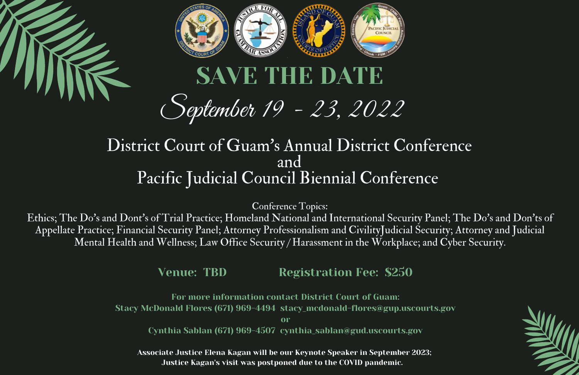

# September 19 - 23, 2022

#### District Court of Guam's Annual District Conference and Pacific Judicial Council Biennial Conference

Conference Topics:

Ethics; The Do's and Dont's of Trial Practice; Homeland National and International Security Panel; The Do's and Don'ts of Appellate Practice; Financial Security Panel; Attorney Professionalism and CivilityJudicial Security; Attorney and Judicial Mental Health and Wellness; Law Office Security / Harassment in the Workplace; and Cyber Security.

Venue: TBD Registration Fee: \$250

For more information contact District Court of Guam: Stacy McDonald Flores (671) 969-4494 stacy\_mcdonald-flores@gup.uscourts.gov

or

Cynthia Sablan (671) 969-4507 cynthia\_sablan@gud.uscourts.gov

Associate Justice Elena Kagan will be our Keynote Speaker in September 2023; Justice Kagan's visit was postponed due to the COVID pandemic.

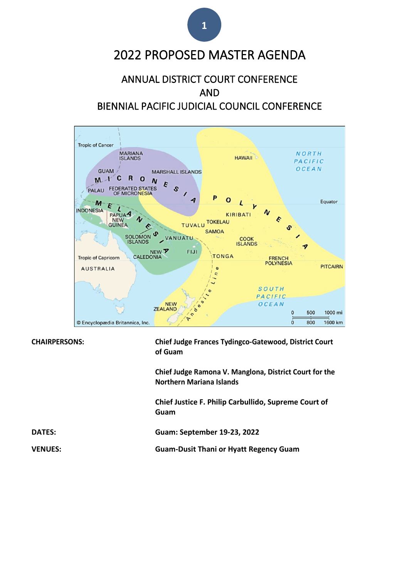## 2022 PROPOSED MASTER AGENDA

#### ANNUAL DISTRICT COURT CONFERENCE AND BIENNIAL PACIFIC JUDICIAL COUNCIL CONFERENCE



**CHAIRPERSONS: Chief Judge Frances Tydingco-Gatewood, District Court of Guam**

> **Chief Judge Ramona V. Manglona, District Court for the Northern Mariana Islands**

**Chief Justice F. Philip Carbullido, Supreme Court of Guam**

**DATES: Guam: September 19-23, 2022**

**VENUES: Guam-Dusit Thani or Hyatt Regency Guam**

**1**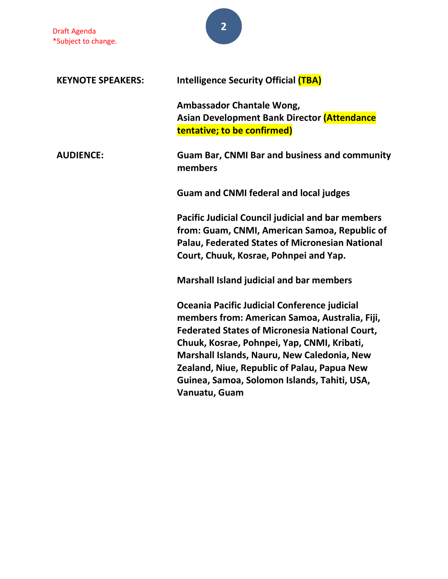| <b>KEYNOTE SPEAKERS:</b> | <b>Intelligence Security Official (TBA)</b>                                                                                                                                                                                                                                                                                                                           |
|--------------------------|-----------------------------------------------------------------------------------------------------------------------------------------------------------------------------------------------------------------------------------------------------------------------------------------------------------------------------------------------------------------------|
|                          | Ambassador Chantale Wong,<br><b>Asian Development Bank Director (Attendance</b><br>tentative; to be confirmed)                                                                                                                                                                                                                                                        |
| <b>AUDIENCE:</b>         | <b>Guam Bar, CNMI Bar and business and community</b><br>members                                                                                                                                                                                                                                                                                                       |
|                          | <b>Guam and CNMI federal and local judges</b>                                                                                                                                                                                                                                                                                                                         |
|                          | <b>Pacific Judicial Council judicial and bar members</b><br>from: Guam, CNMI, American Samoa, Republic of<br><b>Palau, Federated States of Micronesian National</b><br>Court, Chuuk, Kosrae, Pohnpei and Yap.                                                                                                                                                         |
|                          | <b>Marshall Island judicial and bar members</b>                                                                                                                                                                                                                                                                                                                       |
|                          | Oceania Pacific Judicial Conference judicial<br>members from: American Samoa, Australia, Fiji,<br><b>Federated States of Micronesia National Court,</b><br>Chuuk, Kosrae, Pohnpei, Yap, CNMI, Kribati,<br>Marshall Islands, Nauru, New Caledonia, New<br>Zealand, Niue, Republic of Palau, Papua New<br>Guinea, Samoa, Solomon Islands, Tahiti, USA,<br>Vanuatu, Guam |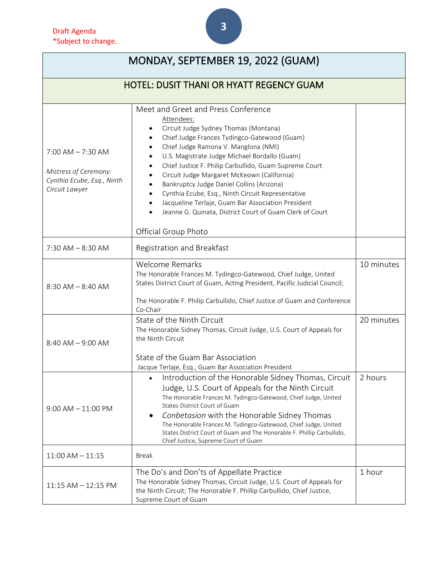| Drait Agenda<br>*Subject to change.                                                           |                                                                                                                                                                                                                                                                                                                                                                                                                                                                                                                                                                                                                                                   |  |
|-----------------------------------------------------------------------------------------------|---------------------------------------------------------------------------------------------------------------------------------------------------------------------------------------------------------------------------------------------------------------------------------------------------------------------------------------------------------------------------------------------------------------------------------------------------------------------------------------------------------------------------------------------------------------------------------------------------------------------------------------------------|--|
|                                                                                               | MONDAY, SEPTEMBER 19, 2022 (GUAM)                                                                                                                                                                                                                                                                                                                                                                                                                                                                                                                                                                                                                 |  |
|                                                                                               | <b>HOTEL: DUSIT THANI OR HYATT REGENCY GUAM</b>                                                                                                                                                                                                                                                                                                                                                                                                                                                                                                                                                                                                   |  |
| $7:00$ AM $-7:30$ AM<br>Mistress of Ceremony:<br>Cynthia Ecube, Esq., Ninth<br>Circuit Lawyer | Meet and Greet and Press Conference<br>Attendees:<br>Circuit Judge Sydney Thomas (Montana)<br>Chief Judge Frances Tydingco-Gatewood (Guam)<br>٠<br>Chief Judge Ramona V. Manglona (NMI)<br>$\bullet$<br>U.S. Magistrate Judge Michael Bordallo (Guam)<br>Chief Justice F. Philip Carbullido, Guam Supreme Court<br>$\bullet$<br>Circuit Judge Margaret McKeown (California)<br>Bankruptcy Judge Daniel Collins (Arizona)<br>Cynthia Ecube, Esq., Ninth Circuit Representative<br>Jacqueline Terlaje, Guam Bar Association President<br>$\bullet$<br>Jeanne G. Quinata, District Court of Guam Clerk of Court<br>$\bullet$<br>Official Group Photo |  |
| C 30 A N A                                                                                    |                                                                                                                                                                                                                                                                                                                                                                                                                                                                                                                                                                                                                                                   |  |

|                       | Jeanne G. Quinata, District Court of Guam Clerk of Court                                                                                                                                                                                                                                                                                                                                                                                                         |            |
|-----------------------|------------------------------------------------------------------------------------------------------------------------------------------------------------------------------------------------------------------------------------------------------------------------------------------------------------------------------------------------------------------------------------------------------------------------------------------------------------------|------------|
|                       | Official Group Photo                                                                                                                                                                                                                                                                                                                                                                                                                                             |            |
| $7:30$ AM $-8:30$ AM  | Registration and Breakfast                                                                                                                                                                                                                                                                                                                                                                                                                                       |            |
| $8:30$ AM $-8:40$ AM  | <b>Welcome Remarks</b><br>The Honorable Frances M. Tydingco-Gatewood, Chief Judge, United<br>States District Court of Guam, Acting President, Pacific Judicial Council;<br>The Honorable F. Philip Carbullido, Chief Justice of Guam and Conference<br>Co-Chair                                                                                                                                                                                                  | 10 minutes |
| $8:40$ AM $-9:00$ AM  | State of the Ninth Circuit<br>The Honorable Sidney Thomas, Circuit Judge, U.S. Court of Appeals for<br>the Ninth Circuit<br>State of the Guam Bar Association<br>Jacque Terlaje, Esq., Guam Bar Association President                                                                                                                                                                                                                                            | 20 minutes |
| $9:00$ AM $-11:00$ PM | Introduction of the Honorable Sidney Thomas, Circuit<br>$\bullet$<br>Judge, U.S. Court of Appeals for the Ninth Circuit<br>The Honorable Frances M. Tydingco-Gatewood, Chief Judge, United<br>States District Court of Guam<br>Conbetasion with the Honorable Sidney Thomas<br>The Honorable Frances M. Tydingco-Gatewood, Chief Judge, United<br>States District Court of Guam and The Honorable F. Phillip Carbullido,<br>Chief Justice, Supreme Court of Guam | 2 hours    |
| $11:00$ AM $-11:15$   | <b>Break</b>                                                                                                                                                                                                                                                                                                                                                                                                                                                     |            |
| 11:15 AM - 12:15 PM   | The Do's and Don'ts of Appellate Practice<br>The Honorable Sidney Thomas, Circuit Judge, U.S. Court of Appeals for<br>the Ninth Circuit; The Honorable F. Phillip Carbullido, Chief Justice,<br>Supreme Court of Guam                                                                                                                                                                                                                                            | 1 hour     |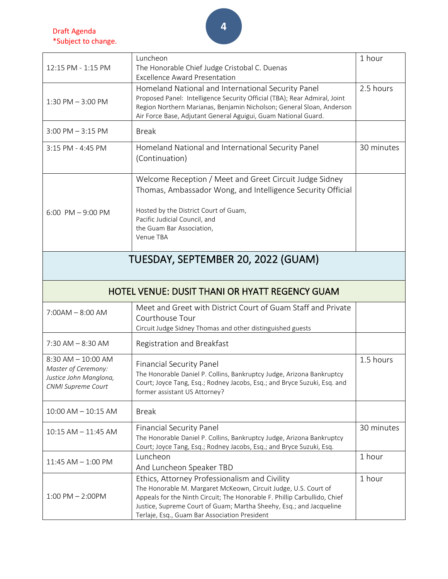Draft Agenda \*Subject to change.

|                         | Luncheon                                                                                                             | 1 hour     |
|-------------------------|----------------------------------------------------------------------------------------------------------------------|------------|
| 12:15 PM - 1:15 PM      | The Honorable Chief Judge Cristobal C. Duenas                                                                        |            |
|                         | <b>Excellence Award Presentation</b>                                                                                 |            |
|                         | Homeland National and International Security Panel                                                                   | 2.5 hours  |
| $1:30$ PM $-3:00$ PM    | Proposed Panel: Intelligence Security Official (TBA); Rear Admiral, Joint                                            |            |
|                         | Region Northern Marianas, Benjamin Nicholson; General Sloan, Anderson                                                |            |
|                         | Air Force Base, Adjutant General Aguigui, Guam National Guard.                                                       |            |
| $3:00$ PM $-3:15$ PM    | <b>Break</b>                                                                                                         |            |
|                         |                                                                                                                      |            |
| 3:15 PM - 4:45 PM       | Homeland National and International Security Panel                                                                   | 30 minutes |
|                         | (Continuation)                                                                                                       |            |
|                         |                                                                                                                      |            |
|                         | Welcome Reception / Meet and Greet Circuit Judge Sidney                                                              |            |
|                         | Thomas, Ambassador Wong, and Intelligence Security Official                                                          |            |
|                         |                                                                                                                      |            |
| 6:00 PM $-$ 9:00 PM     | Hosted by the District Court of Guam,                                                                                |            |
|                         | Pacific Judicial Council, and                                                                                        |            |
|                         | the Guam Bar Association,                                                                                            |            |
|                         | Venue TBA                                                                                                            |            |
|                         |                                                                                                                      |            |
|                         | TUESDAY, SEPTEMBER 20, 2022 (GUAM)                                                                                   |            |
|                         |                                                                                                                      |            |
|                         |                                                                                                                      |            |
|                         | HOTEL VENUE: DUSIT THANI OR HYATT REGENCY GUAM                                                                       |            |
|                         |                                                                                                                      |            |
| $7:00AM - 8:00AM$       | Meet and Greet with District Court of Guam Staff and Private                                                         |            |
|                         | Courthouse Tour                                                                                                      |            |
|                         | Circuit Judge Sidney Thomas and other distinguished guests                                                           |            |
| $7:30$ AM $-8:30$ AM    | Registration and Breakfast                                                                                           |            |
|                         |                                                                                                                      |            |
| 8:30 AM - 10:00 AM      | <b>Financial Security Panel</b>                                                                                      | 1.5 hours  |
| Master of Ceremony:     | The Honorable Daniel P. Collins, Bankruptcy Judge, Arizona Bankruptcy                                                |            |
| Justice John Manglona,  | Court; Joyce Tang, Esq.; Rodney Jacobs, Esq.; and Bryce Suzuki, Esq. and                                             |            |
| CNMI Supreme Court      | former assistant US Attorney?                                                                                        |            |
|                         |                                                                                                                      |            |
| $10:00$ AM $- 10:15$ AM | <b>Break</b>                                                                                                         |            |
|                         |                                                                                                                      |            |
| 10:15 AM - 11:45 AM     | <b>Financial Security Panel</b>                                                                                      | 30 minutes |
|                         | The Honorable Daniel P. Collins, Bankruptcy Judge, Arizona Bankruptcy                                                |            |
|                         | Court; Joyce Tang, Esq.; Rodney Jacobs, Esq.; and Bryce Suzuki, Esq.                                                 |            |
| $11:45$ AM $- 1:00$ PM  | Luncheon                                                                                                             | 1 hour     |
|                         | And Luncheon Speaker TBD                                                                                             |            |
|                         | Ethics, Attorney Professionalism and Civility                                                                        | 1 hour     |
|                         | The Honorable M. Margaret McKeown, Circuit Judge, U.S. Court of                                                      |            |
| $1:00$ PM $- 2:00$ PM   | Appeals for the Ninth Circuit; The Honorable F. Phillip Carbullido, Chief                                            |            |
|                         | Justice, Supreme Court of Guam; Martha Sheehy, Esq.; and Jacqueline<br>Terlaje, Esq., Guam Bar Association President |            |
|                         |                                                                                                                      |            |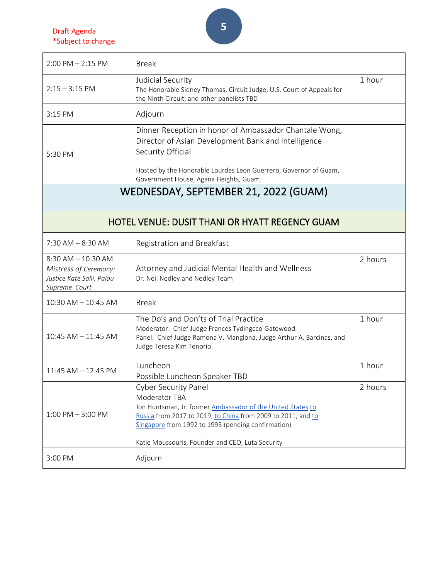Draft Agenda \*Subject to change.

| $2:00$ PM $- 2:15$ PM                                                                         | <b>Break</b>                                                                                                                                                                                                                                                                          |         |
|-----------------------------------------------------------------------------------------------|---------------------------------------------------------------------------------------------------------------------------------------------------------------------------------------------------------------------------------------------------------------------------------------|---------|
| $2:15 - 3:15$ PM                                                                              | Judicial Security<br>The Honorable Sidney Thomas, Circuit Judge, U.S. Court of Appeals for<br>the Ninth Circuit, and other panelists TBD                                                                                                                                              | 1 hour  |
| 3:15 PM                                                                                       | Adjourn                                                                                                                                                                                                                                                                               |         |
| 5:30 PM                                                                                       | Dinner Reception in honor of Ambassador Chantale Wong,<br>Director of Asian Development Bank and Intelligence<br>Security Official                                                                                                                                                    |         |
|                                                                                               | Hosted by the Honorable Lourdes Leon Guerrero, Governor of Guam,<br>Government House, Agana Heights, Guam.                                                                                                                                                                            |         |
|                                                                                               | WEDNESDAY, SEPTEMBER 21, 2022 (GUAM)                                                                                                                                                                                                                                                  |         |
|                                                                                               |                                                                                                                                                                                                                                                                                       |         |
|                                                                                               | <b>HOTEL VENUE: DUSIT THANI OR HYATT REGENCY GUAM</b>                                                                                                                                                                                                                                 |         |
| $7:30$ AM $-8:30$ AM                                                                          | Registration and Breakfast                                                                                                                                                                                                                                                            |         |
| $8:30$ AM $- 10:30$ AM<br>Mistress of Ceremony:<br>Justice Kate Salii, Palau<br>Supreme Court | Attorney and Judicial Mental Health and Wellness<br>Dr. Neil Nedley and Nedley Team                                                                                                                                                                                                   | 2 hours |
| $10:30$ AM $- 10:45$ AM                                                                       | <b>Break</b>                                                                                                                                                                                                                                                                          |         |
| 10:45 AM - 11:45 AM                                                                           | The Do's and Don'ts of Trial Practice<br>Moderator: Chief Judge Frances Tydingcco-Gatewood<br>Panel: Chief Judge Ramona V. Manglona, Judge Arthur A. Barcinas, and<br>Judge Teresa Kim Tenorio.                                                                                       | 1 hour  |
| $11:45$ AM $- 12:45$ PM                                                                       | Luncheon<br>Possible Luncheon Speaker TBD                                                                                                                                                                                                                                             | 1 hour  |
| $1:00$ PM $-3:00$ PM                                                                          | <b>Cyber Security Panel</b><br>Moderator TBA<br>Jon Huntsman, Jr. former Ambassador of the United States to<br>Russia from 2017 to 2019, to China from 2009 to 2011, and to<br>Singapore from 1992 to 1993 (pending confirmation)<br>Katie Moussouris, Founder and CEO, Luta Security | 2 hours |
| 3:00 PM                                                                                       | Adjourn                                                                                                                                                                                                                                                                               |         |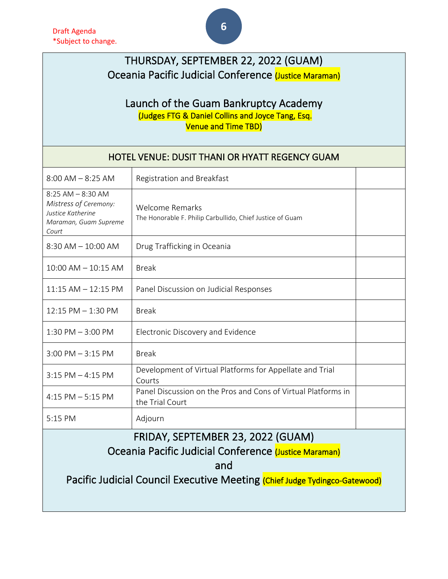### THURSDAY, SEPTEMBER 22, 2022 (GUAM) Oceania Pacific Judicial Conference (Justice Maraman)

## Launch of the Guam Bankruptcy Academy<br>(Judges FTG & Daniel Collins and Joyce Tang, Esq. Venue and Time TBD)

| HOTEL VENUE: DUSIT THANI OR HYATT REGENCY GUAM                                                        |                                                                                  |  |
|-------------------------------------------------------------------------------------------------------|----------------------------------------------------------------------------------|--|
| $8:00$ AM $-8:25$ AM                                                                                  | Registration and Breakfast                                                       |  |
| $8:25$ AM $- 8:30$ AM<br>Mistress of Ceremony:<br>Justice Katherine<br>Maraman, Guam Supreme<br>Court | Welcome Remarks<br>The Honorable F. Philip Carbullido, Chief Justice of Guam     |  |
| $8:30$ AM $-10:00$ AM                                                                                 | Drug Trafficking in Oceania                                                      |  |
| $10:00$ AM $- 10:15$ AM                                                                               | <b>Break</b>                                                                     |  |
| $11:15$ AM $-12:15$ PM                                                                                | Panel Discussion on Judicial Responses                                           |  |
| 12:15 PM - 1:30 PM                                                                                    | <b>Break</b>                                                                     |  |
| $1:30$ PM $-3:00$ PM                                                                                  | Electronic Discovery and Evidence                                                |  |
| $3:00$ PM $-3:15$ PM                                                                                  | <b>Break</b>                                                                     |  |
| $3:15$ PM $-4:15$ PM                                                                                  | Development of Virtual Platforms for Appellate and Trial<br>Courts               |  |
| $4:15$ PM $-5:15$ PM                                                                                  | Panel Discussion on the Pros and Cons of Virtual Platforms in<br>the Trial Court |  |
| 5:15 PM                                                                                               | Adjourn                                                                          |  |
| FRIDAY, SEPTEMBER 23, 2022 (GUAM)                                                                     |                                                                                  |  |
| Oceania Pacific Judicial Conference (Justice Maraman)                                                 |                                                                                  |  |
| and                                                                                                   |                                                                                  |  |
| Pacific Judicial Council Executive Meeting (Chief Judge Tydingco-Gatewood)                            |                                                                                  |  |
|                                                                                                       |                                                                                  |  |